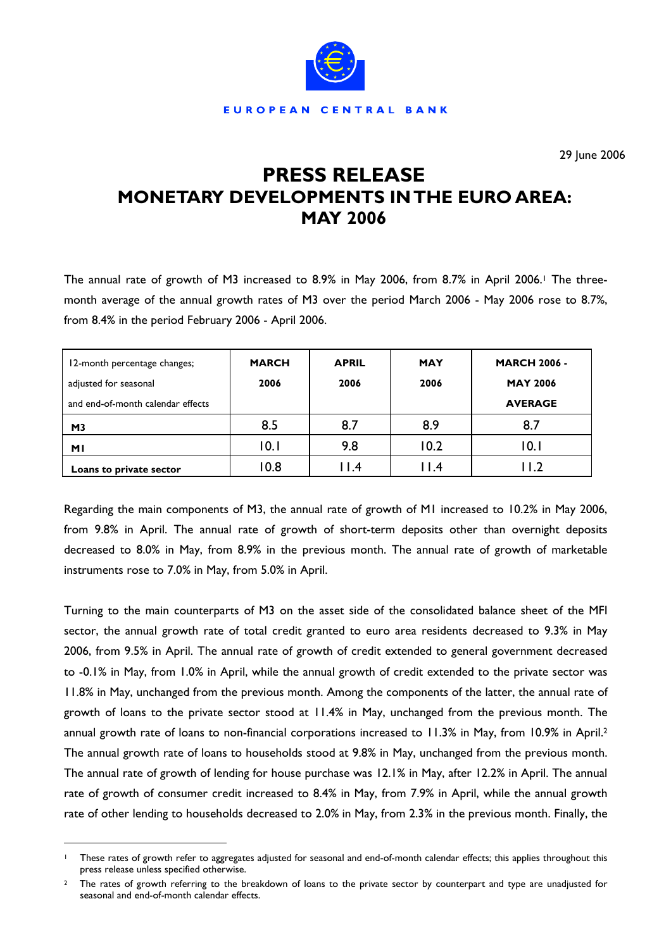

29 June 2006

# **PRESS RELEASE MONETARY DEVELOPMENTS IN THE EURO AREA: MAY 2006**

The annual rate of growth of M3 increased to 8.9% in May 2006, from 8.7% in April 2006.<sup>1</sup> The threemonth average of the annual growth rates of M3 over the period March 2006 - May 2006 rose to 8.7%, from 8.4% in the period February 2006 - April 2006.

| 12-month percentage changes;<br>adjusted for seasonal | <b>MARCH</b><br>2006 | <b>APRIL</b><br>2006 | <b>MAY</b><br>2006 | <b>MARCH 2006 -</b><br><b>MAY 2006</b> |
|-------------------------------------------------------|----------------------|----------------------|--------------------|----------------------------------------|
| and end-of-month calendar effects                     |                      |                      |                    | <b>AVERAGE</b>                         |
| M <sub>3</sub>                                        | 8.5                  | 8.7                  | 8.9                | 8.7                                    |
| <b>MI</b>                                             | 10.1                 | 9.8                  | 10.2               | 10.1                                   |
| Loans to private sector                               | 10.8                 | $  \cdot  $ .4       | 11.4               | I I.2                                  |

Regarding the main components of M3, the annual rate of growth of M1 increased to 10.2% in May 2006, from 9.8% in April. The annual rate of growth of short-term deposits other than overnight deposits decreased to 8.0% in May, from 8.9% in the previous month. The annual rate of growth of marketable instruments rose to 7.0% in May, from 5.0% in April.

Turning to the main counterparts of M3 on the asset side of the consolidated balance sheet of the MFI sector, the annual growth rate of total credit granted to euro area residents decreased to 9.3% in May 2006, from 9.5% in April. The annual rate of growth of credit extended to general government decreased to -0.1% in May, from 1.0% in April, while the annual growth of credit extended to the private sector was 11.8% in May, unchanged from the previous month. Among the components of the latter, the annual rate of growth of loans to the private sector stood at 11.4% in May, unchanged from the previous month. The annual growth rate of loans to non-financial corporations increased to 11.3% in May, from 10.9% in April.[2](#page-0-1) The annual growth rate of loans to households stood at 9.8% in May, unchanged from the previous month. The annual rate of growth of lending for house purchase was 12.1% in May, after 12.2% in April. The annual rate of growth of consumer credit increased to 8.4% in May, from 7.9% in April, while the annual growth rate of other lending to households decreased to 2.0% in May, from 2.3% in the previous month. Finally, the

 $\overline{a}$ 

<span id="page-0-0"></span>These rates of growth refer to aggregates adjusted for seasonal and end-of-month calendar effects; this applies throughout this press release unless specified otherwise.

<span id="page-0-1"></span>The rates of growth referring to the breakdown of loans to the private sector by counterpart and type are unadjusted for seasonal and end-of-month calendar effects.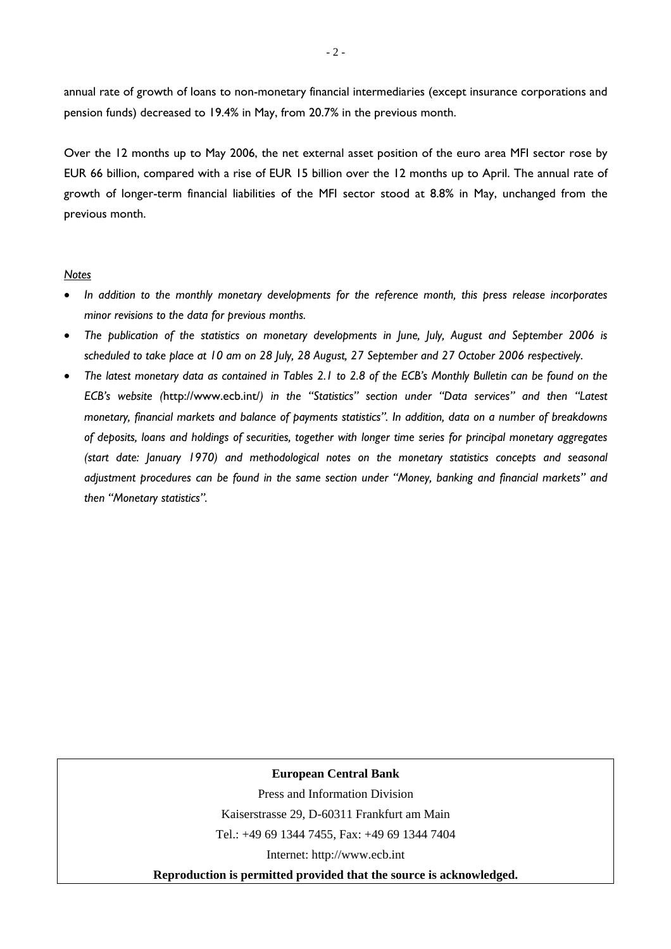annual rate of growth of loans to non-monetary financial intermediaries (except insurance corporations and pension funds) decreased to 19.4% in May, from 20.7% in the previous month.

Over the 12 months up to May 2006, the net external asset position of the euro area MFI sector rose by EUR 66 billion, compared with a rise of EUR 15 billion over the 12 months up to April. The annual rate of growth of longer-term financial liabilities of the MFI sector stood at 8.8% in May, unchanged from the previous month.

### *Notes*

- *In addition to the monthly monetary developments for the reference month, this press release incorporates minor revisions to the data for previous months.*
- *The publication of the statistics on monetary developments in June, July, August and September 2006 is scheduled to take place at 10 am on 28 July, 28 August, 27 September and 27 October 2006 respectively*.
- *The latest monetary data as contained in Tables 2.1 to 2.8 of the ECB's Monthly Bulletin can be found on the ECB's website (*http://www.ecb.int/*) in the "Statistics" section under "Data services" and then "Latest monetary, financial markets and balance of payments statistics". In addition, data on a number of breakdowns of deposits, loans and holdings of securities, together with longer time series for principal monetary aggregates (start date: January 1970) and methodological notes on the monetary statistics concepts and seasonal adjustment procedures can be found in the same section under "Money, banking and financial markets" and then "Monetary statistics".*

#### **European Central Bank**

Press and Information Division

Kaiserstrasse 29, D-60311 Frankfurt am Main

Tel.: +49 69 1344 7455, Fax: +49 69 1344 7404

Internet: http://www.ecb.int

**Reproduction is permitted provided that the source is acknowledged.**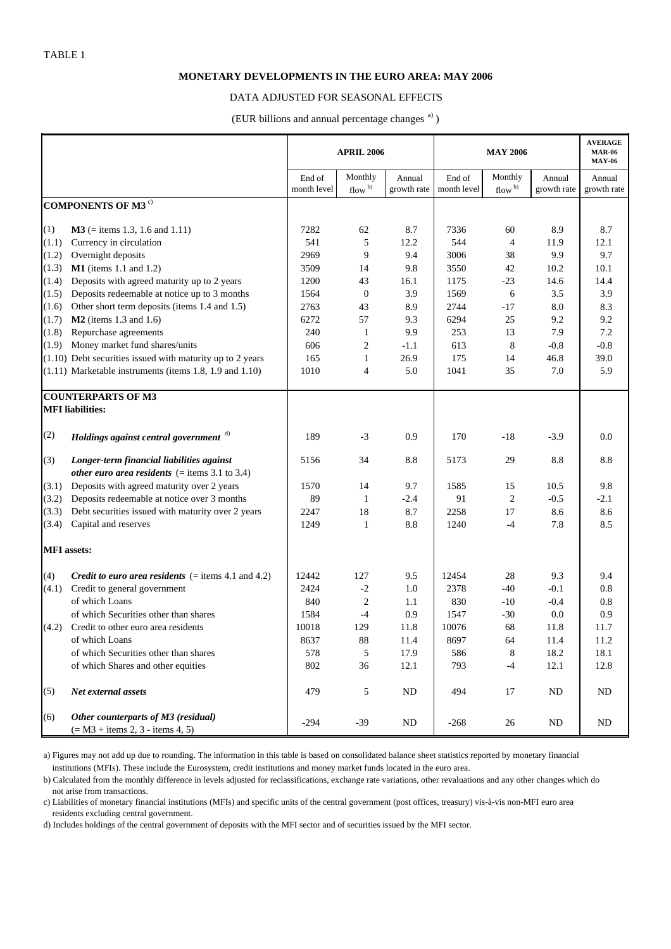#### **MONETARY DEVELOPMENTS IN THE EURO AREA: MAY 2006**

#### DATA ADJUSTED FOR SEASONAL EFFECTS

(EUR billions and annual percentage changes a) )

|                           |                                                                           | <b>APRIL 2006</b>     |                               |                       |                       | <b>AVERAGE</b><br><b>MAR-06</b><br><b>MAY-06</b> |                       |                       |
|---------------------------|---------------------------------------------------------------------------|-----------------------|-------------------------------|-----------------------|-----------------------|--------------------------------------------------|-----------------------|-----------------------|
|                           |                                                                           | End of<br>month level | Monthly<br>flow <sup>b)</sup> | Annual<br>growth rate | End of<br>month level | Monthly<br>flow $\mathfrak{b}$ )                 | Annual<br>growth rate | Annual<br>growth rate |
|                           | <b>COMPONENTS OF M3<sup>c)</sup></b>                                      |                       |                               |                       |                       |                                                  |                       |                       |
|                           |                                                                           |                       |                               |                       |                       |                                                  |                       |                       |
| (1)                       | $M3$ (= items 1.3, 1.6 and 1.11)                                          | 7282                  | 62                            | 8.7                   | 7336                  | 60                                               | 8.9                   | 8.7                   |
| (1.1)                     | Currency in circulation                                                   | 541                   | 5                             | 12.2                  | 544                   | $\overline{4}$                                   | 11.9                  | 12.1                  |
| (1.2)                     | Overnight deposits                                                        | 2969                  | 9                             | 9.4                   | 3006                  | 38                                               | 9.9                   | 9.7                   |
| (1.3)                     | $M1$ (items 1.1 and 1.2)                                                  | 3509                  | 14                            | 9.8                   | 3550                  | 42                                               | 10.2                  | 10.1                  |
| (1.4)                     | Deposits with agreed maturity up to 2 years                               | 1200                  | 43                            | 16.1                  | 1175                  | $-23$                                            | 14.6                  | 14.4                  |
| (1.5)                     | Deposits redeemable at notice up to 3 months                              | 1564                  | $\boldsymbol{0}$              | 3.9                   | 1569                  | 6                                                | 3.5                   | 3.9                   |
| (1.6)                     | Other short term deposits (items 1.4 and 1.5)                             | 2763                  | 43                            | 8.9                   | 2744                  | $-17$                                            | 8.0                   | 8.3                   |
| (1.7)                     | $M2$ (items 1.3 and 1.6)                                                  | 6272                  | 57                            | 9.3                   | 6294                  | 25                                               | 9.2                   | 9.2                   |
| (1.8)                     | Repurchase agreements                                                     | 240                   | 1                             | 9.9                   | 253                   | 13                                               | 7.9                   | 7.2                   |
| (1.9)                     | Money market fund shares/units                                            | 606                   | $\overline{c}$                | $-1.1$                | 613                   | 8                                                | $-0.8$                | $-0.8$                |
|                           | $(1.10)$ Debt securities issued with maturity up to 2 years               | 165                   | 1                             | 26.9                  | 175                   | 14                                               | 46.8                  | 39.0                  |
|                           | $(1.11)$ Marketable instruments (items 1.8, 1.9 and 1.10)                 | 1010                  | 4                             | 5.0                   | 1041                  | 35                                               | 7.0                   | 5.9                   |
| <b>COUNTERPARTS OF M3</b> |                                                                           |                       |                               |                       |                       |                                                  |                       |                       |
|                           | <b>MFI</b> liabilities:                                                   |                       |                               |                       |                       |                                                  |                       |                       |
| (2)                       | Holdings against central government d)                                    | 189                   | $-3$                          | 0.9                   | 170                   | $-18$                                            | $-3.9$                | 0.0                   |
| (3)                       | Longer-term financial liabilities against                                 | 5156                  | 34                            | 8.8                   | 5173                  | 29                                               | 8.8                   | 8.8                   |
|                           | other euro area residents $($ = items 3.1 to 3.4)                         |                       |                               |                       |                       |                                                  |                       |                       |
| (3.1)                     | Deposits with agreed maturity over 2 years                                | 1570                  | 14                            | 9.7                   | 1585                  | 15                                               | 10.5                  | 9.8                   |
| (3.2)                     | Deposits redeemable at notice over 3 months                               | 89                    | $\mathbf{1}$                  | $-2.4$                | 91                    | $\overline{c}$                                   | $-0.5$                | $-2.1$                |
| (3.3)                     | Debt securities issued with maturity over 2 years                         | 2247                  | 18                            | 8.7                   | 2258                  | 17                                               | 8.6                   | 8.6                   |
| (3.4)                     | Capital and reserves                                                      | 1249                  | 1                             | 8.8                   | 1240                  | $-4$                                             | 7.8                   | 8.5                   |
| <b>MFI</b> assets:        |                                                                           |                       |                               |                       |                       |                                                  |                       |                       |
| (4)                       | <i>Credit to euro area residents</i> $( =$ items 4.1 and 4.2)             | 12442                 | 127                           | 9.5                   | 12454                 | 28                                               | 9.3                   | 9.4                   |
| (4.1)                     | Credit to general government                                              | 2424                  | $-2$                          | 1.0                   | 2378                  | $-40$                                            | $-0.1$                | 0.8                   |
|                           | of which Loans                                                            | 840                   | $\overline{c}$                | 1.1                   | 830                   | $-10$                                            | $-0.4$                | 0.8                   |
|                           | of which Securities other than shares                                     | 1584                  | $-4$                          | 0.9                   | 1547                  | $-30$                                            | 0.0                   | 0.9                   |
| (4.2)                     | Credit to other euro area residents                                       | 10018                 | 129                           | 11.8                  | 10076                 | 68                                               | 11.8                  | 11.7                  |
|                           | of which Loans                                                            | 8637                  | 88                            | 11.4                  | 8697                  | 64                                               | 11.4                  | 11.2                  |
|                           | of which Securities other than shares                                     | 578                   | 5                             | 17.9                  | 586                   | 8                                                | 18.2                  | 18.1                  |
|                           | of which Shares and other equities                                        | 802                   | 36                            | 12.1                  | 793                   | $-4$                                             | 12.1                  | 12.8                  |
| (5)                       | Net external assets                                                       | 479                   | 5                             | <b>ND</b>             | 494                   | 17                                               | ND                    | ND                    |
| (6)                       | Other counterparts of M3 (residual)<br>$(= M3 + items 2, 3 - items 4, 5)$ | $-294$                | $-39$                         | ND                    | $-268$                | 26                                               | ND                    | ND                    |

 institutions (MFIs). These include the Eurosystem, credit institutions and money market funds located in the euro area. a) Figures may not add up due to rounding. The information in this table is based on consolidated balance sheet statistics reported by monetary financial

b) Calculated from the monthly difference in levels adjusted for reclassifications, exchange rate variations, other revaluations and any other changes which do not arise from transactions.

c) Liabilities of monetary financial institutions (MFIs) and specific units of the central government (post offices, treasury) vis-à-vis non-MFI euro area residents excluding central government.

d) Includes holdings of the central government of deposits with the MFI sector and of securities issued by the MFI sector.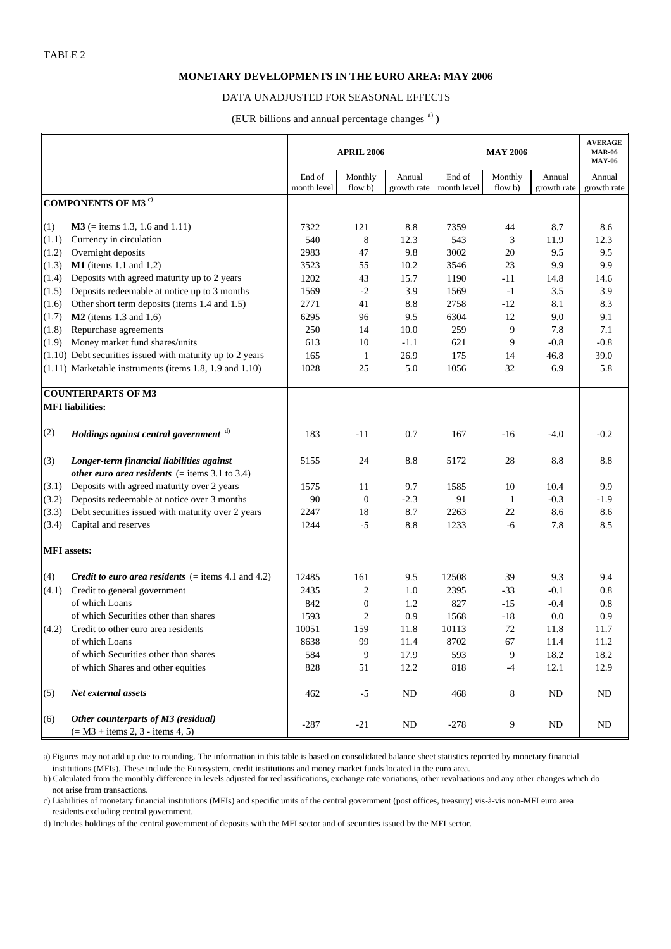#### **MONETARY DEVELOPMENTS IN THE EURO AREA: MAY 2006**

#### DATA UNADJUSTED FOR SEASONAL EFFECTS

(EUR billions and annual percentage changes<sup>a)</sup>)

|                    |                                                                           | <b>APRIL 2006</b> |                  |             |             | <b>AVERAGE</b><br><b>MAR-06</b><br><b>MAY-06</b> |             |             |
|--------------------|---------------------------------------------------------------------------|-------------------|------------------|-------------|-------------|--------------------------------------------------|-------------|-------------|
|                    |                                                                           | End of            | Monthly          | Annual      | End of      | Monthly                                          | Annual      | Annual      |
|                    |                                                                           | month level       | flow b)          | growth rate | month level | flow b)                                          | growth rate | growth rate |
|                    | <b>COMPONENTS OF M3<sup>c)</sup></b>                                      |                   |                  |             |             |                                                  |             |             |
| (1)                | $M3$ (= items 1.3, 1.6 and 1.11)                                          | 7322              | 121              | 8.8         | 7359        | 44                                               | 8.7         | 8.6         |
| (1.1)              | Currency in circulation                                                   | 540               | $\,8\,$          | 12.3        | 543         | 3                                                | 11.9        | 12.3        |
| (1.2)              | Overnight deposits                                                        | 2983              | 47               | 9.8         | 3002        | 20                                               | 9.5         | 9.5         |
| (1.3)              | $M1$ (items 1.1 and 1.2)                                                  | 3523              | 55               | 10.2        | 3546        | 23                                               | 9.9         | 9.9         |
| (1.4)              | Deposits with agreed maturity up to 2 years                               | 1202              | 43               | 15.7        | 1190        | $-11$                                            | 14.8        | 14.6        |
| (1.5)              | Deposits redeemable at notice up to 3 months                              | 1569              | $-2$             | 3.9         | 1569        | $-1$                                             | 3.5         | 3.9         |
| (1.6)              | Other short term deposits (items 1.4 and 1.5)                             | 2771              | 41               | 8.8         | 2758        | $-12$                                            | 8.1         | 8.3         |
| (1.7)              | $M2$ (items 1.3 and 1.6)                                                  | 6295              | 96               | 9.5         | 6304        | 12                                               | 9.0         | 9.1         |
| (1.8)              | Repurchase agreements                                                     | 250               | 14               | 10.0        | 259         | 9                                                | 7.8         | 7.1         |
| (1.9)              | Money market fund shares/units                                            | 613               | 10               | $-1.1$      | 621         | 9                                                | $-0.8$      | $-0.8$      |
|                    | $(1.10)$ Debt securities issued with maturity up to 2 years               | 165               | $\mathbf{1}$     | 26.9        | 175         | 14                                               | 46.8        | 39.0        |
|                    | $(1.11)$ Marketable instruments (items 1.8, 1.9 and 1.10)                 | 1028              | 25               | 5.0         | 1056        | 32                                               | 6.9         | 5.8         |
|                    |                                                                           |                   |                  |             |             |                                                  |             |             |
|                    | <b>COUNTERPARTS OF M3</b>                                                 |                   |                  |             |             |                                                  |             |             |
|                    | <b>MFI</b> liabilities:                                                   |                   |                  |             |             |                                                  |             |             |
| (2)                | Holdings against central government d)                                    | 183               | $-11$            | 0.7         | 167         | $-16$                                            | $-4.0$      | $-0.2$      |
| (3)                | Longer-term financial liabilities against                                 | 5155              | 24               | 8.8         | 5172        | 28                                               | 8.8         | 8.8         |
|                    | other euro area residents $($ = items 3.1 to 3.4)                         |                   |                  |             |             |                                                  |             |             |
| (3.1)              | Deposits with agreed maturity over 2 years                                | 1575              | 11               | 9.7         | 1585        | 10                                               | 10.4        | 9.9         |
| (3.2)              | Deposits redeemable at notice over 3 months                               | 90                | $\boldsymbol{0}$ | $-2.3$      | 91          | -1                                               | $-0.3$      | $-1.9$      |
| (3.3)              | Debt securities issued with maturity over 2 years                         | 2247              | 18               | 8.7         | 2263        | 22                                               | 8.6         | 8.6         |
| (3.4)              | Capital and reserves                                                      | 1244              | $-5$             | 8.8         | 1233        | -6                                               | 7.8         | 8.5         |
| <b>MFI</b> assets: |                                                                           |                   |                  |             |             |                                                  |             |             |
| (4)                | <i>Credit to euro area residents</i> $(=$ items 4.1 and 4.2)              | 12485             | 161              | 9.5         | 12508       | 39                                               | 9.3         | 9.4         |
| (4.1)              | Credit to general government                                              | 2435              | $\overline{c}$   | 1.0         | 2395        | $-33$                                            | $-0.1$      | 0.8         |
|                    | of which Loans                                                            | 842               | $\boldsymbol{0}$ | 1.2         | 827         | $-15$                                            | $-0.4$      | 0.8         |
|                    | of which Securities other than shares                                     | 1593              | $\overline{2}$   | 0.9         | 1568        | $-18$                                            | 0.0         | 0.9         |
| (4.2)              | Credit to other euro area residents                                       | 10051             | 159              | 11.8        | 10113       | 72                                               | 11.8        | 11.7        |
|                    | of which Loans                                                            | 8638              | 99               | 11.4        | 8702        | 67                                               | 11.4        | 11.2        |
|                    | of which Securities other than shares                                     | 584               | 9                | 17.9        | 593         | 9                                                | 18.2        | 18.2        |
|                    | of which Shares and other equities                                        | 828               | 51               | 12.2        | 818         | $-4$                                             | 12.1        | 12.9        |
| (5)                | Net external assets                                                       | 462               | $-5$             | ${\rm ND}$  | 468         | 8                                                | ND          | $\rm ND$    |
| (6)                | Other counterparts of M3 (residual)<br>$(= M3 + items 2, 3 - items 4, 5)$ | $-287$            | $-21$            | ND          | $-278$      | $\overline{9}$                                   | ND          | ND          |

 institutions (MFIs). These include the Eurosystem, credit institutions and money market funds located in the euro area. a) Figures may not add up due to rounding. The information in this table is based on consolidated balance sheet statistics reported by monetary financial

b) Calculated from the monthly difference in levels adjusted for reclassifications, exchange rate variations, other revaluations and any other changes which do not arise from transactions.

c) Liabilities of monetary financial institutions (MFIs) and specific units of the central government (post offices, treasury) vis-à-vis non-MFI euro area residents excluding central government.

d) Includes holdings of the central government of deposits with the MFI sector and of securities issued by the MFI sector.